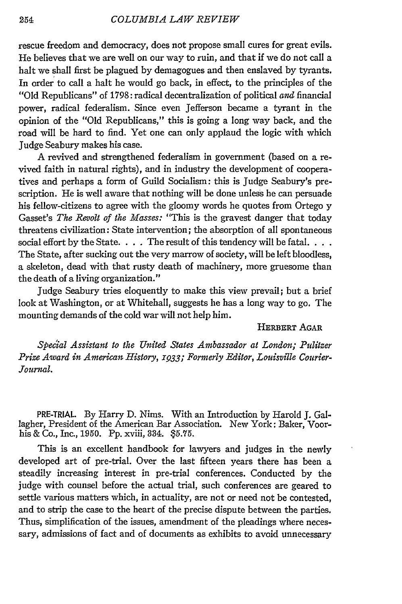rescue freedom and democracy, does not propose small cures for great evils. He believes that we are well on our way to ruin, and that if we do not call a halt we shall first be plagued by demagogues and then enslaved by tyrants. In order to call a halt he would go back, in effect, to the principles of the "Old Republicans" of 1798: radical decentralization of political *and* financial power, radical federalism. Since even Jefferson became a tyrant in the opinion of the "Old Republicans," this is going a long way back, and the road will be hard to find. Yet one can only applaud the logic with which Judge Seabury makes his case.

A revived and strengthened federalism in government (based on a revived faith in natural rights), and in industry the development of cooperatives and perhaps a form of Guild Socialism: this is Judge Seabury's prescription. He is well aware that nothing will be done unless he can persuade his fellow-citizens to agree with the gloomy words he quotes from Ortego y Gasset's *The Revolt of the Masses:* "This is the gravest danger that today threatens civilization: State intervention; the absorption of all spontaneous social effort by the State. . . . The result of this tendency will be fatal. . . . The State, after sucking out the very marrow of society, will be left bloodless, a skeleton, dead with that rusty death of machinery, more gruesome than the death of a living organization."

Judge Seabury tries eloquently to make this view prevail; but a brief look at Washington, or at Whitehall, suggests he has a long way to go. The mounting demands of the cold war will not help him.

## HERBERT AGAR

*Special Assistant to the United States Ambassador at London; Pulitzer Prize Award in American History, x933; Formerly Editor, Louisville Courier-Journal.*

PRE-TRIAL. By Harry D. Nims. With an Introduction by Harold J. Gallagher, President of the American Bar Association. New York: Baker, Voorhis & Co., Inc., **1950.** Pp. xviii, 334. **\$5.75.**

This is an excellent handbook for lawyers and judges in the newly developed art of pre-trial. Over the last fifteen years there has been a steadily increasing interest in pre-trial conferences. Conducted by the judge with counsel before the actual trial, such conferences are geared to settle various matters which, in actuality, are not or need not be contested, and to strip the case to the heart of the precise dispute between the parties. Thus, simplification of the issues, amendment of the pleadings where necessary, admissions of fact and of documents as exhibits to avoid unnecessary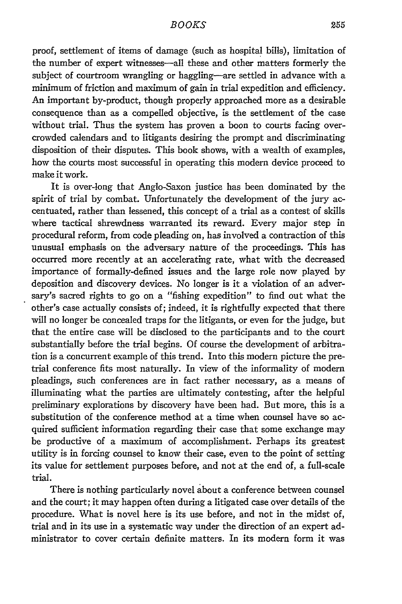proof, settlement of items of damage (such as hospital bills), limitation of the number of expert witnesses-all these and other matters formerly the subject of courtroom wrangling or haggling—are settled in advance with a minimum of friction and maximum of gain in trial expedition and efficiency. An important by-product, though properly approached more as a desirable consequence than as a compelled objective, is the settlement of the case without trial. Thus the system has proven a boon to courts facing overcrowded calendars and to litigants desiring the prompt and discriminating disposition of their disputes. This book shows, with a wealth of examples, how the courts most successful in operating this modern device proceed to make it work.

It is over-long that Anglo-Saxon justice has been dominated by the spirit of trial by combat. Unfortunately the development of the jury accentuated, rather than lessened, this concept of a trial as a contest of skills where tactical shrewdness warranted its reward. Every major step in procedural reform, from code pleading on, has involved a contraction of this unusual emphasis on the adversary nature of the proceedings. This has occurred more recently at an accelerating rate, what with the decreased importance of formally-defined issues and the large role now played by deposition and discovery devices. No longer is it a violation of an adversary's sacred rights to go on a "fishing expedition" to find out what the other's case actually consists of; indeed, it is rightfully expected that there will no longer be concealed traps for the litigants, or even for the judge, but that the entire case will be disclosed to the participants and to the court substantially before the trial begins. Of course the development of arbitration is a concurrent example of this trend. Into this modern picture the pretrial conference fits most naturally. In view of the informality of modern pleadings, such conferences are in fact rather necessary, as a means of illuminating what the parties are ultimately contesting, after the helpful preliminary explorations by discovery have been had. But more, this is a substitution of the conference method at a time when counsel have so acquired sufficient information regarding their case that some exchange may be productive of a maximum of accomplishment. Perhaps its greatest utility is in forcing counsel to know their case, even to the point of setting its value for settlement purposes before, and not at the end of, a full-scale trial.

There is nothing particularly novel about a conference between counsel and the court; it may happen often during a litigated case over details of the procedure. What is novel here is its use before, and not in the midst of, trial and in its use in a systematic way under the direction of an expert administrator to cover certain definite matters. In its modern form it was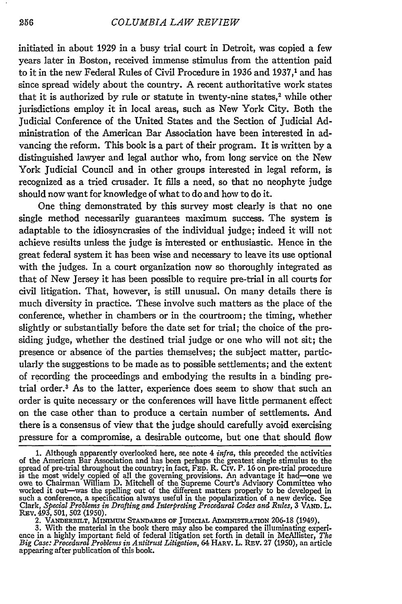initiated in about 1929 in a busy trial court in Detroit, was copied a few years later in Boston, received immense stimulus from the attention paid to it in the new Federal Rules of Civil Procedure in 1936 and **1937,1** and has since spread widely about the country. A recent authoritative work states that it is authorized by rule or statute in twenty-nine states.<sup>2</sup> while other jurisdictions employ it in local areas, such as New York City. Both the Judicial Conference of the United States and the Section of Judicial **Ad**ministration of the American Bar Association have been interested in advancing the reform. This book is a part of their program. It is written by a distinguished lawyer and legal author who, from long service on the New York Judicial Council and in other groups interested in legal reform, is recognized as a tried crusader. It fills a need, so that no neophyte judge should now want for knowledge of what to do and how to do it.

One thing demonstrated by this survey most clearly is that no one single method necessarily guarantees maximum success. The system is adaptable to the idiosyncrasies of the individual judge; indeed it will not achieve results unless the judge is interested or enthusiastic. Hence in the great federal system it has been wise and necessary to leave its use optional with the judges. In a court organization now so thoroughly integrated as that of New Jersey it has been possible to require pre-trial in all courts for civil litigation. That, however, is still unusual. On many details there is much diversity in practice. These involve such matters as the place of the conference, whether in chambers or in the courtroom; the timing, whether slightly or substantially before the date set for trial; the choice of the presiding judge, whether the destined trial judge or one who will not sit; the presence or absence of the parties themselves; the subject matter, particularly the suggestions to be made as to possible settlements; and the extent of recording the proceedings and embodying the results in a binding pretrial order.<sup>3</sup> As to the latter, experience does seem to show that such an order is quite necessary or the conferences will have little permanent effect on the case other than to produce a certain number of settlements. And there is a consensus of view that the judge should carefully avoid exercising pressure for a compromise, a desirable outcome, but one that should flow

**<sup>1.</sup>** Although apparently overlooked here, see note 4 *infra,* this preceded the activities of the American Bar Association and has been perhaps the greatest single stimulus to the spread of pre-trial throughout the country; in fact, FED. R. Civ. P. 16 on pre-trial procedure<br>is the most widely copied of all the governing provisions. An advantage it had—one we<br>owe to Chairman William D. Mitchell of th worked it out—was the spelling out of the different matters properly to be developed in such a conference, a specification always useful in the popularization of a new device. See Clark, *Special Problems in Drafting and Interpreting Procedural Codes and Rules,* 3 **VAND.** L. Rev. 493, 501, 502 (1950).<br>2. Vanderbilt, Minimum Standards of Judicial Administration 206-18 (1949)

<sup>3.</sup> With the material in the book there may also be compared the illuminating experi- ence in a highly important field of federal litigation set forth in detail in McAllister, *The Big Case: Procedural Problems in Antitrust Litigation,* 64 **HARV.** L. REv. 27 **(1950),** an article appearing after publication of this book.